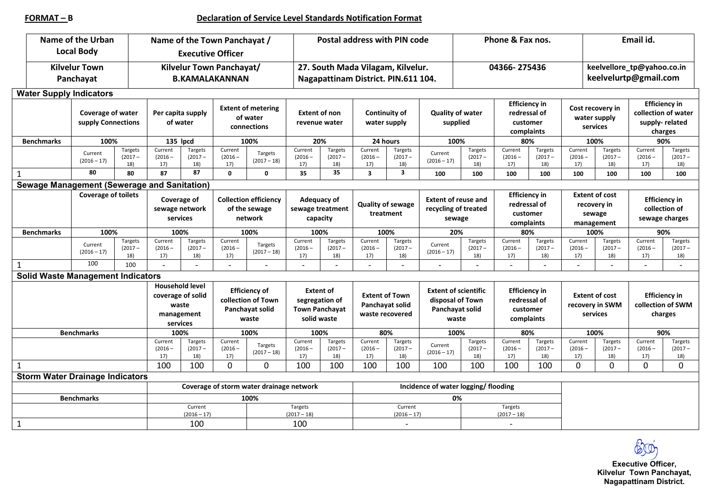|                   |                                   | <b>Name of the Urban</b><br><b>Local Body</b> |                                    | Name of the Town Panchayat /<br><b>Executive Officer</b>                       |                             |                                                                        |                          |                                                                            | Postal address with PIN code                                             |                                                             |                                      |                                                                             |                             | Phone & Fax nos.                                               |                             |                                                              |                                                     | Email id.                                                                |                             |  |  |
|-------------------|-----------------------------------|-----------------------------------------------|------------------------------------|--------------------------------------------------------------------------------|-----------------------------|------------------------------------------------------------------------|--------------------------|----------------------------------------------------------------------------|--------------------------------------------------------------------------|-------------------------------------------------------------|--------------------------------------|-----------------------------------------------------------------------------|-----------------------------|----------------------------------------------------------------|-----------------------------|--------------------------------------------------------------|-----------------------------------------------------|--------------------------------------------------------------------------|-----------------------------|--|--|
|                   | <b>Kilvelur Town</b><br>Panchayat |                                               |                                    | Kilvelur Town Panchayat/<br><b>B.KAMALAKANNAN</b>                              |                             |                                                                        |                          |                                                                            | 27. South Mada Vilagam, Kilvelur.<br>Nagapattinam District. PIN.611 104. |                                                             |                                      |                                                                             | 04366-275436                |                                                                |                             |                                                              | keelvellore_tp@yahoo.co.in<br>keelvelurtp@gmail.com |                                                                          |                             |  |  |
|                   | <b>Water Supply Indicators</b>    |                                               |                                    |                                                                                |                             |                                                                        |                          |                                                                            |                                                                          |                                                             |                                      |                                                                             |                             |                                                                |                             |                                                              |                                                     |                                                                          |                             |  |  |
|                   |                                   | Coverage of water<br>supply Connections       |                                    | Per capita supply<br>of water                                                  |                             | <b>Extent of metering</b><br>of water<br>connections                   |                          | <b>Extent of non</b><br>revenue water                                      |                                                                          | <b>Continuity of</b><br>water supply                        |                                      | <b>Quality of water</b><br>supplied                                         |                             | <b>Efficiency in</b><br>redressal of<br>customer<br>complaints |                             | Cost recovery in<br>water supply<br>services                 |                                                     | <b>Efficiency in</b><br>collection of water<br>supply-related<br>charges |                             |  |  |
| <b>Benchmarks</b> |                                   | 100%                                          |                                    | 135 lpcd                                                                       |                             | 100%                                                                   |                          | 20%                                                                        |                                                                          | 24 hours                                                    |                                      | 100%                                                                        |                             | 80%                                                            |                             | 100%                                                         |                                                     | 90%                                                                      |                             |  |  |
|                   |                                   | Current<br>$(2016 - 17)$                      | Targets<br>$(2017 -$<br>18)        | Current<br>$(2016 -$<br>17)                                                    | Targets<br>$(2017 -$<br>18) | Current<br>$(2016 -$<br>17)                                            | Targets<br>$(2017 - 18)$ | Current<br>$(2016 -$<br>17)                                                | Targets<br>$(2017 -$<br>18)                                              | Current<br>$(2016 -$<br>17)                                 | Targets<br>$(2017 -$<br>18)          | Current<br>$(2016 - 17)$                                                    | Targets<br>$(2017 -$<br>18) | Current<br>$(2016 -$<br>17)                                    | Targets<br>$(2017 -$<br>18) | Current<br>$(2016 -$<br>17)                                  | Targets<br>$(2017 -$<br>18)                         | Current<br>$(2016 -$<br>17)                                              | Targets<br>$(2017 -$<br>18) |  |  |
| $\mathbf{1}$      |                                   | 80                                            | 80                                 | 87                                                                             | 87                          | $\mathbf{0}$                                                           | $\Omega$                 | 35                                                                         | 35                                                                       | $\overline{\mathbf{3}}$                                     | $\overline{\mathbf{3}}$              | 100                                                                         | 100                         | 100                                                            | 100                         | 100                                                          | 100                                                 | 100                                                                      | 100                         |  |  |
|                   |                                   | Sewage Management (Sewerage and Sanitation)   |                                    |                                                                                |                             |                                                                        |                          |                                                                            |                                                                          |                                                             |                                      |                                                                             |                             |                                                                |                             |                                                              |                                                     |                                                                          |                             |  |  |
|                   |                                   | <b>Coverage of toilets</b>                    |                                    | Coverage of<br>sewage network<br>services                                      |                             | <b>Collection efficiency</b><br>of the sewage<br>network               |                          | Adequacy of<br>sewage treatment<br>capacity                                |                                                                          | <b>Quality of sewage</b><br>treatment                       |                                      | <b>Extent of reuse and</b><br>recycling of treated<br>sewage                |                             | <b>Efficiency in</b><br>redressal of<br>customer<br>complaints |                             | <b>Extent of cost</b><br>recovery in<br>sewage<br>management |                                                     | <b>Efficiency in</b><br>collection of<br>sewage charges                  |                             |  |  |
| <b>Benchmarks</b> |                                   | 100%                                          |                                    | 100%                                                                           |                             | 100%                                                                   |                          | 100%                                                                       |                                                                          | 100%                                                        |                                      | 20%                                                                         |                             | 80%                                                            |                             | 100%                                                         |                                                     | 90%                                                                      |                             |  |  |
|                   |                                   | Current<br>$(2016 - 17)$                      | <b>Targets</b><br>$(2017 -$<br>18) | Current<br>$(2016 -$<br>17)                                                    | Targets<br>$(2017 -$<br>18) | Current<br>$(2016 -$<br>17)                                            | Targets<br>$(2017 - 18)$ | Current<br>$(2016 -$<br>17)                                                | Targets<br>$(2017 -$<br>18)                                              | Current<br>$(2016 -$<br>17)                                 | Targets<br>$(2017 -$<br>18)          | Current<br>$(2016 - 17)$                                                    | Targets<br>$(2017 -$<br>18) | Current<br>$(2016 -$<br>17)                                    | Targets<br>$(2017 -$<br>18) | Current<br>$(2016 -$<br>17)                                  | Targets<br>$(2017 -$<br>18)                         | Current<br>$(2016 -$<br>17)                                              | Targets<br>$(2017 -$<br>18) |  |  |
| 1                 |                                   | 100                                           | 100                                |                                                                                |                             |                                                                        |                          |                                                                            |                                                                          |                                                             |                                      |                                                                             |                             |                                                                |                             |                                                              |                                                     |                                                                          |                             |  |  |
|                   |                                   | <b>Solid Waste Management Indicators</b>      |                                    |                                                                                |                             |                                                                        |                          |                                                                            |                                                                          |                                                             |                                      |                                                                             |                             |                                                                |                             |                                                              |                                                     |                                                                          |                             |  |  |
|                   |                                   |                                               |                                    | <b>Household level</b><br>coverage of solid<br>waste<br>management<br>services |                             | <b>Efficiency of</b><br>collection of Town<br>Panchayat solid<br>waste |                          | <b>Extent of</b><br>segregation of<br><b>Town Panchayat</b><br>solid waste |                                                                          | <b>Extent of Town</b><br>Panchayat solid<br>waste recovered |                                      | <b>Extent of scientific</b><br>disposal of Town<br>Panchayat solid<br>waste |                             | <b>Efficiency in</b><br>redressal of<br>customer<br>complaints |                             | <b>Extent of cost</b><br>recovery in SWM<br>services         |                                                     | <b>Efficiency in</b><br>collection of SWM<br>charges                     |                             |  |  |
| <b>Benchmarks</b> |                                   |                                               | 100%                               |                                                                                | 100%                        |                                                                        | 100%                     |                                                                            | 80%                                                                      |                                                             | 100%                                 |                                                                             | 80%                         |                                                                | 100%                        |                                                              | 90%                                                 |                                                                          |                             |  |  |
|                   |                                   |                                               |                                    | Current<br>$(2016 -$<br>17)                                                    | Targets<br>$(2017 -$<br>18) | Current<br>$(2016 -$<br>17)                                            | Targets<br>$(2017 - 18)$ | Current<br>$(2016 -$<br>17)                                                | Targets<br>$(2017 -$<br>18)                                              | Current<br>$(2016 -$<br>17)                                 | Targets<br>$(2017 -$<br>18)          | Current<br>$(2016 - 17)$                                                    | Targets<br>$(2017 -$<br>18) | Current<br>$(2016 -$<br>17)                                    | Targets<br>$(2017 -$<br>18) | Current<br>$(2016 -$<br>17)                                  | Targets<br>$(2017 -$<br>18)                         | Current<br>$(2016 -$<br>17)                                              | Targets<br>$(2017 -$<br>18) |  |  |
| $\mathbf{1}$      |                                   |                                               |                                    | 100                                                                            | 100                         | $\Omega$                                                               | $\Omega$                 | 100                                                                        | 100                                                                      | 100                                                         | 100                                  | 100                                                                         | 100                         | 100                                                            | 100                         | 0                                                            | 0                                                   | 0                                                                        | 0                           |  |  |
|                   |                                   | <b>Storm Water Drainage Indicators</b>        |                                    |                                                                                |                             |                                                                        |                          |                                                                            |                                                                          |                                                             |                                      |                                                                             |                             |                                                                |                             |                                                              |                                                     |                                                                          |                             |  |  |
|                   |                                   |                                               |                                    | Coverage of storm water drainage network                                       |                             |                                                                        |                          |                                                                            |                                                                          |                                                             | Incidence of water logging/ flooding |                                                                             |                             |                                                                |                             |                                                              |                                                     |                                                                          |                             |  |  |
| <b>Benchmarks</b> |                                   |                                               |                                    | 100%                                                                           |                             |                                                                        |                          |                                                                            |                                                                          |                                                             | 0%                                   |                                                                             |                             |                                                                |                             |                                                              |                                                     |                                                                          |                             |  |  |
|                   |                                   |                                               | Current<br>$(2016 - 17)$           |                                                                                |                             |                                                                        | Targets<br>$(2017 - 18)$ |                                                                            | Current<br>$(2016 - 17)$                                                 |                                                             |                                      | Targets<br>$(2017 - 18)$                                                    |                             |                                                                |                             |                                                              |                                                     |                                                                          |                             |  |  |
| $\mathbf{1}$      |                                   |                                               |                                    |                                                                                | 100                         |                                                                        |                          |                                                                            | 100                                                                      |                                                             | $\overline{\phantom{a}}$             |                                                                             |                             |                                                                | $\overline{\phantom{a}}$    |                                                              |                                                     |                                                                          |                             |  |  |

 $600$ **Executive Officer, Kilvelur Town Panchayat, Nagapattinam District.**